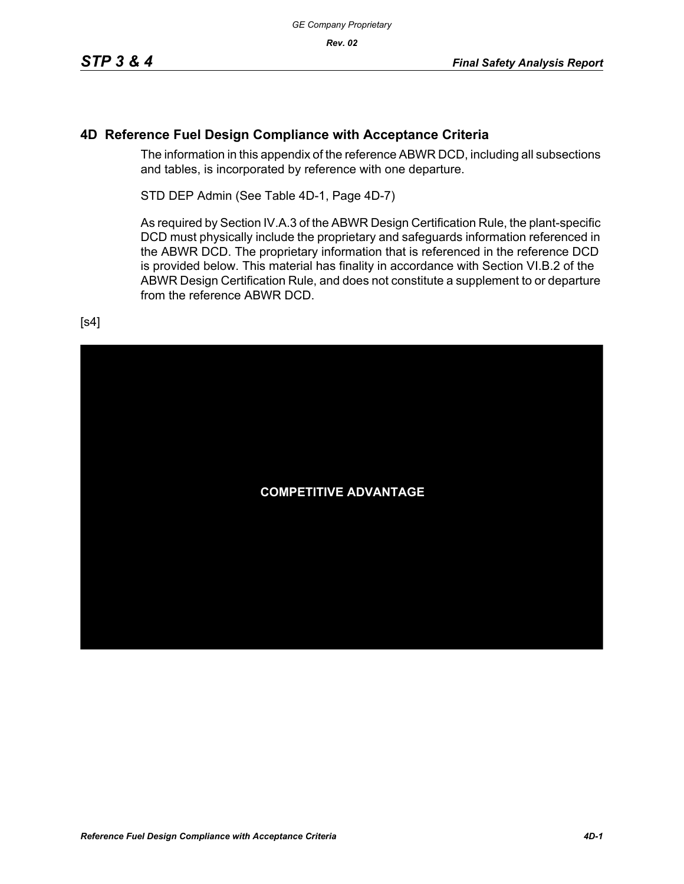#### **4D Reference Fuel Design Compliance with Acceptance Criteria**

The information in this appendix of the reference ABWR DCD, including all subsections and tables, is incorporated by reference with one departure.

STD DEP Admin (See Table 4D-1, Page 4D-7)

As required by Section IV.A.3 of the ABWR Design Certification Rule, the plant-specific DCD must physically include the proprietary and safeguards information referenced in the ABWR DCD. The proprietary information that is referenced in the reference DCD is provided below. This material has finality in accordance with Section VI.B.2 of the ABWR Design Certification Rule, and does not constitute a supplement to or departure from the reference ABWR DCD.

[s4]

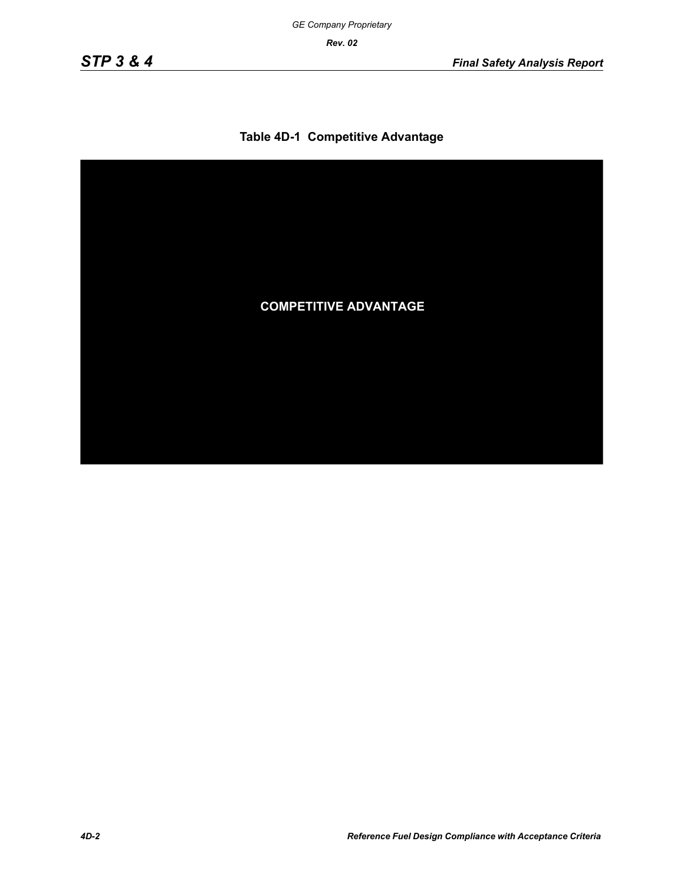#### **Table 4D-1 Competitive Advantage**

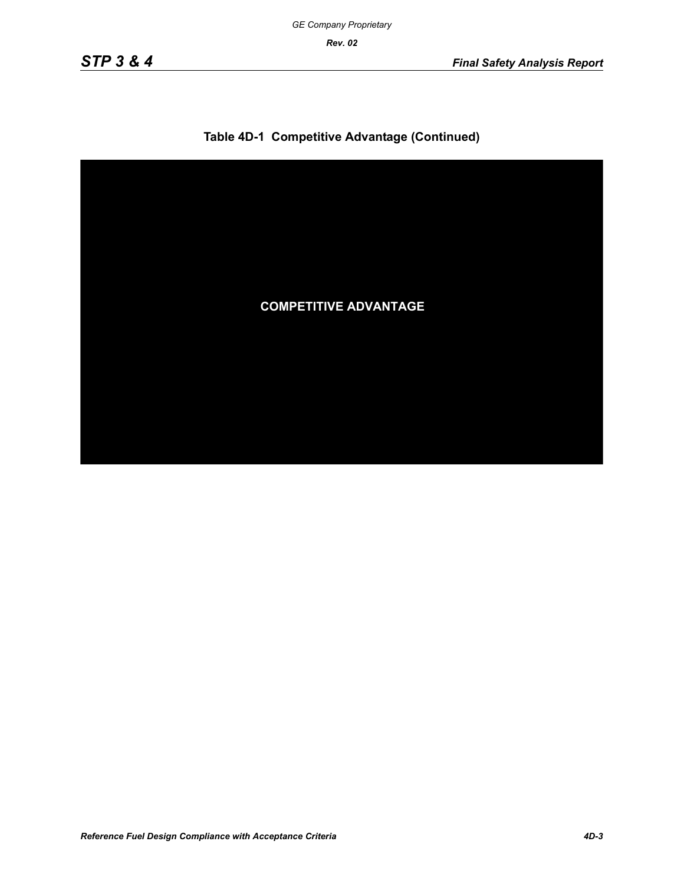

# **Table 4D-1 Competitive Advantage (Continued)**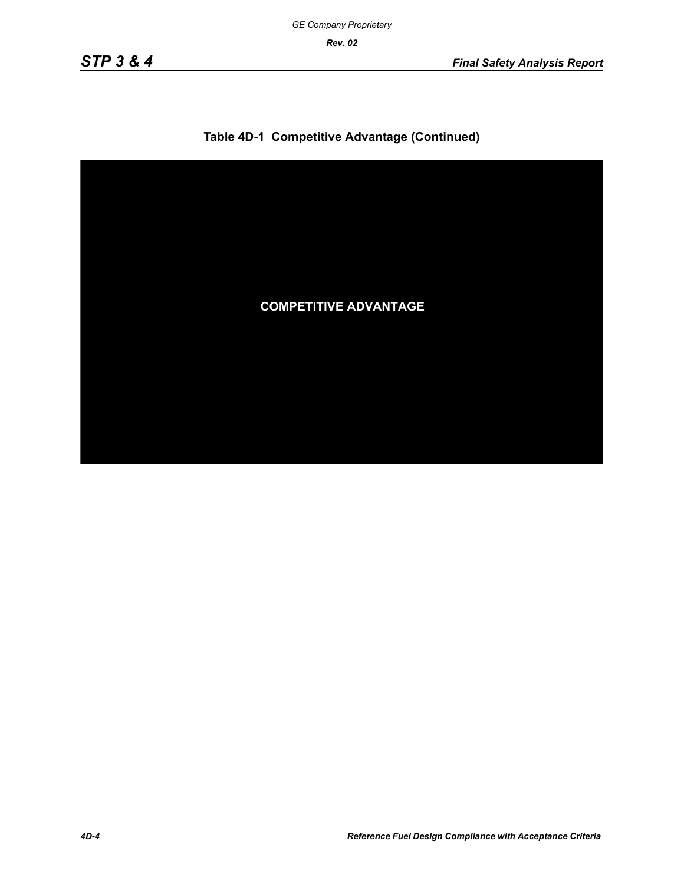

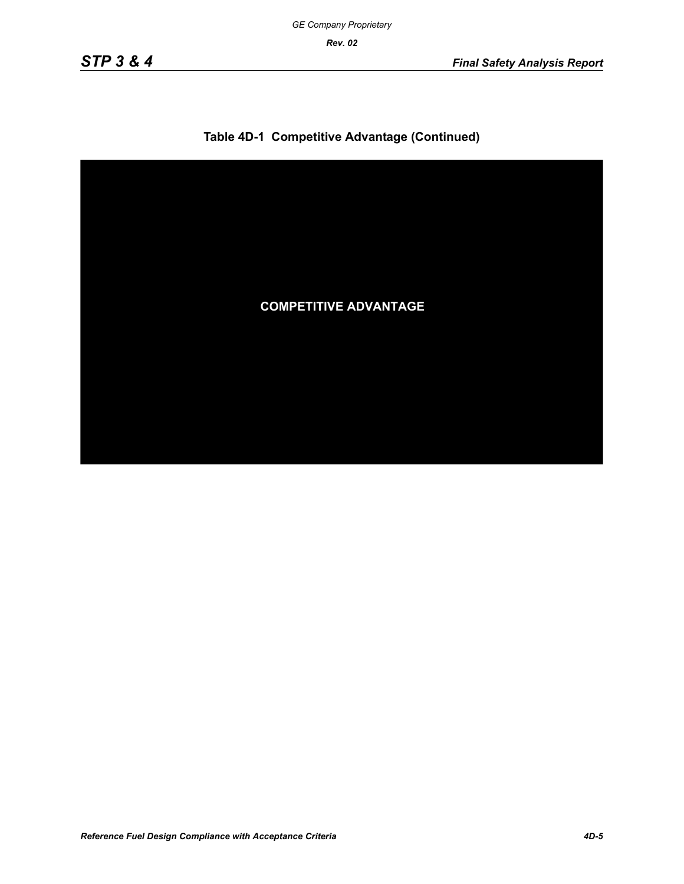

# **Table 4D-1 Competitive Advantage (Continued)**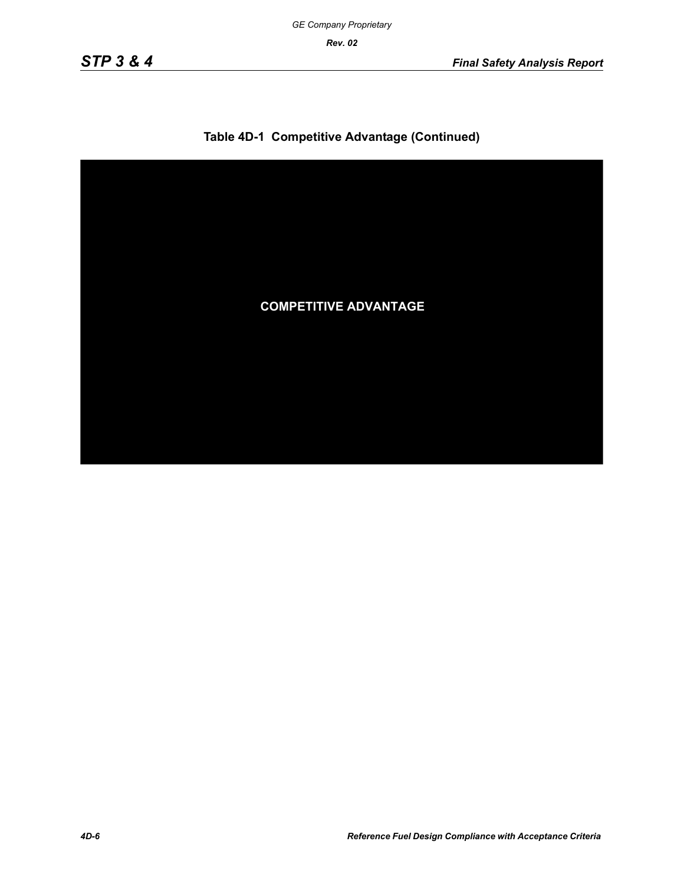

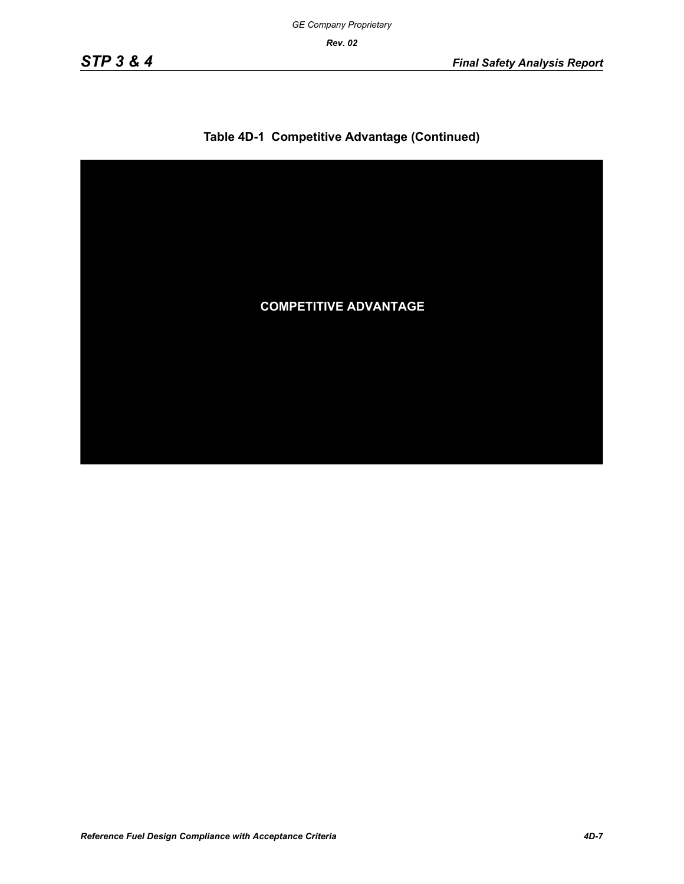

# **Table 4D-1 Competitive Advantage (Continued)**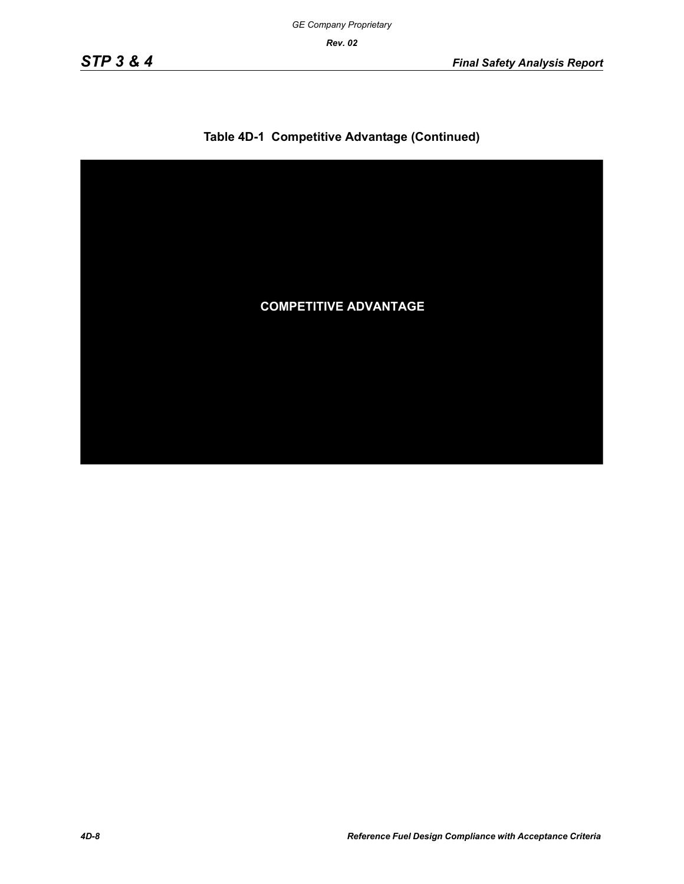

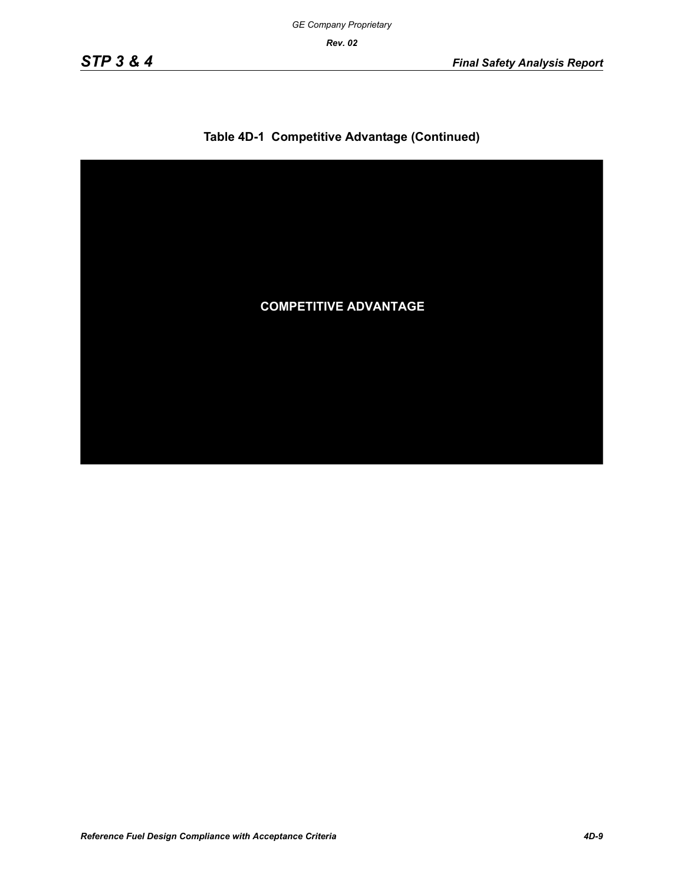

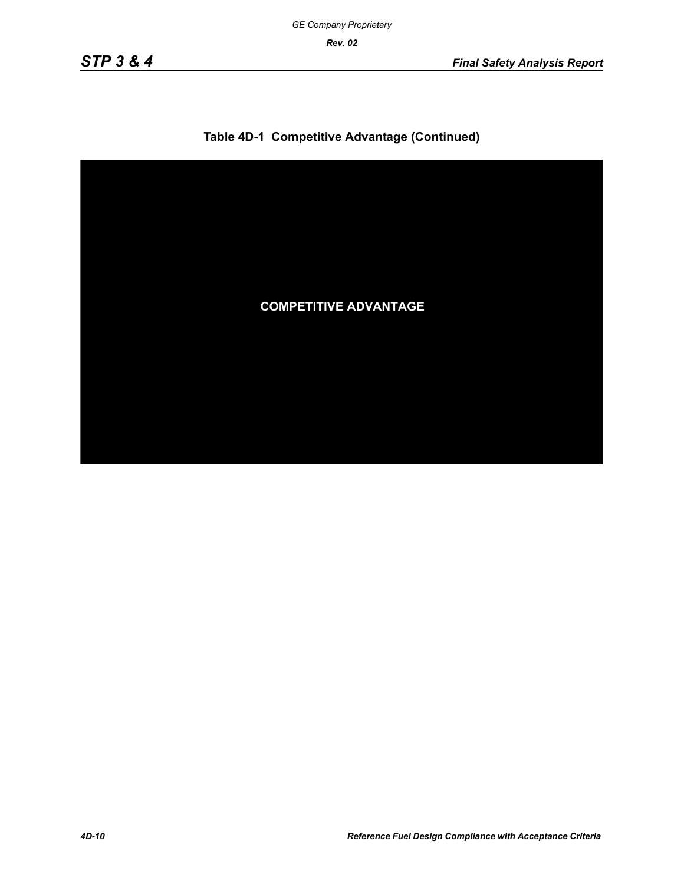